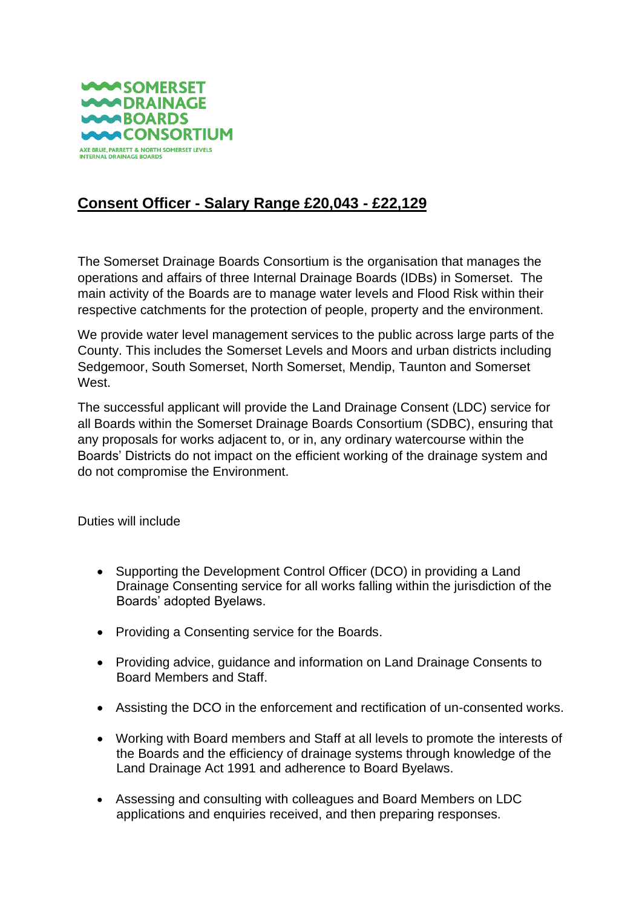

## **Consent Officer - Salary Range £20,043 - £22,129**

The Somerset Drainage Boards Consortium is the organisation that manages the operations and affairs of three Internal Drainage Boards (IDBs) in Somerset. The main activity of the Boards are to manage water levels and Flood Risk within their respective catchments for the protection of people, property and the environment.

We provide water level management services to the public across large parts of the County. This includes the Somerset Levels and Moors and urban districts including Sedgemoor, South Somerset, North Somerset, Mendip, Taunton and Somerset West.

The successful applicant will provide the Land Drainage Consent (LDC) service for all Boards within the Somerset Drainage Boards Consortium (SDBC), ensuring that any proposals for works adjacent to, or in, any ordinary watercourse within the Boards' Districts do not impact on the efficient working of the drainage system and do not compromise the Environment.

Duties will include

- Supporting the Development Control Officer (DCO) in providing a Land Drainage Consenting service for all works falling within the jurisdiction of the Boards' adopted Byelaws.
- Providing a Consenting service for the Boards.
- Providing advice, guidance and information on Land Drainage Consents to Board Members and Staff.
- Assisting the DCO in the enforcement and rectification of un-consented works.
- Working with Board members and Staff at all levels to promote the interests of the Boards and the efficiency of drainage systems through knowledge of the Land Drainage Act 1991 and adherence to Board Byelaws.
- Assessing and consulting with colleagues and Board Members on LDC applications and enquiries received, and then preparing responses.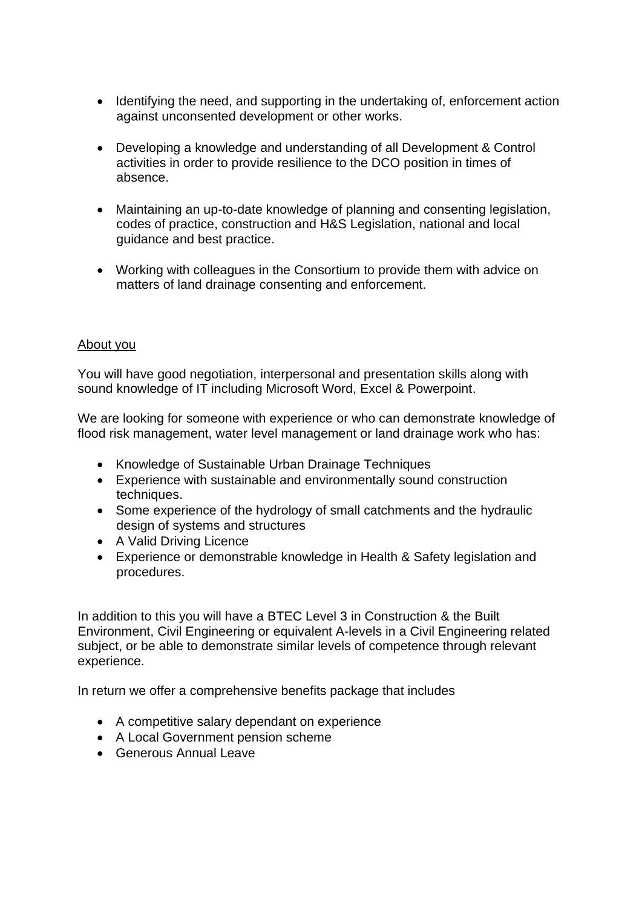- Identifying the need, and supporting in the undertaking of, enforcement action against unconsented development or other works.
- Developing a knowledge and understanding of all Development & Control activities in order to provide resilience to the DCO position in times of absence.
- Maintaining an up-to-date knowledge of planning and consenting legislation, codes of practice, construction and H&S Legislation, national and local guidance and best practice.
- Working with colleagues in the Consortium to provide them with advice on matters of land drainage consenting and enforcement.

## About you

You will have good negotiation, interpersonal and presentation skills along with sound knowledge of IT including Microsoft Word, Excel & Powerpoint.

We are looking for someone with experience or who can demonstrate knowledge of flood risk management, water level management or land drainage work who has:

- Knowledge of Sustainable Urban Drainage Techniques
- Experience with sustainable and environmentally sound construction techniques.
- Some experience of the hydrology of small catchments and the hydraulic design of systems and structures
- A Valid Driving Licence
- Experience or demonstrable knowledge in Health & Safety legislation and procedures.

In addition to this you will have a BTEC Level 3 in Construction & the Built Environment, Civil Engineering or equivalent A-levels in a Civil Engineering related subject, or be able to demonstrate similar levels of competence through relevant experience.

In return we offer a comprehensive benefits package that includes

- A competitive salary dependant on experience
- A Local Government pension scheme
- Generous Annual Leave